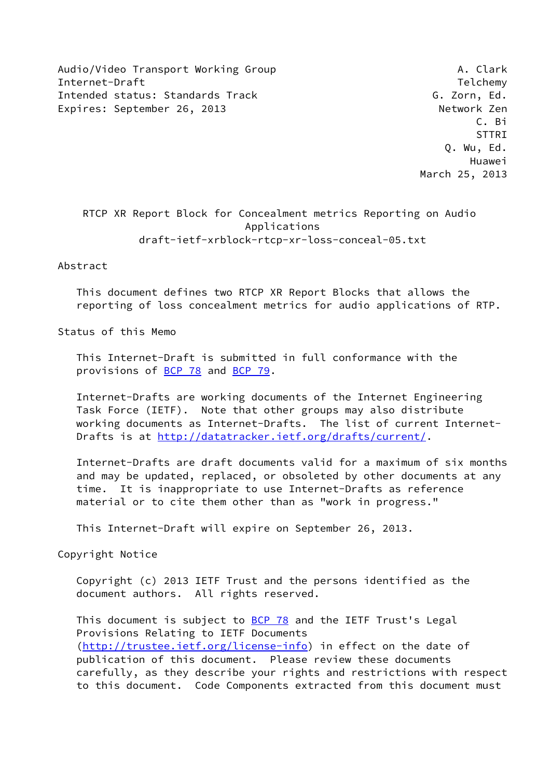Audio/Video Transport Working Group Manusculi A. Clark Internet-Draft Telchemy and the United States of the United States of the Telchemy Intended status: Standards Track G. Zorn, Ed. Expires: September 26, 2013 Metwork Zen

 C. Bi en and the state of the state of the state of the state of the state of the state of the state of the state of Q. Wu, Ed. Huawei March 25, 2013

 RTCP XR Report Block for Concealment metrics Reporting on Audio Applications draft-ietf-xrblock-rtcp-xr-loss-conceal-05.txt

### Abstract

 This document defines two RTCP XR Report Blocks that allows the reporting of loss concealment metrics for audio applications of RTP.

Status of this Memo

 This Internet-Draft is submitted in full conformance with the provisions of **BCP 78** and **BCP 79**.

 Internet-Drafts are working documents of the Internet Engineering Task Force (IETF). Note that other groups may also distribute working documents as Internet-Drafts. The list of current Internet Drafts is at<http://datatracker.ietf.org/drafts/current/>.

 Internet-Drafts are draft documents valid for a maximum of six months and may be updated, replaced, or obsoleted by other documents at any time. It is inappropriate to use Internet-Drafts as reference material or to cite them other than as "work in progress."

This Internet-Draft will expire on September 26, 2013.

Copyright Notice

 Copyright (c) 2013 IETF Trust and the persons identified as the document authors. All rights reserved.

This document is subject to **[BCP 78](https://datatracker.ietf.org/doc/pdf/bcp78)** and the IETF Trust's Legal Provisions Relating to IETF Documents [\(http://trustee.ietf.org/license-info](http://trustee.ietf.org/license-info)) in effect on the date of publication of this document. Please review these documents carefully, as they describe your rights and restrictions with respect to this document. Code Components extracted from this document must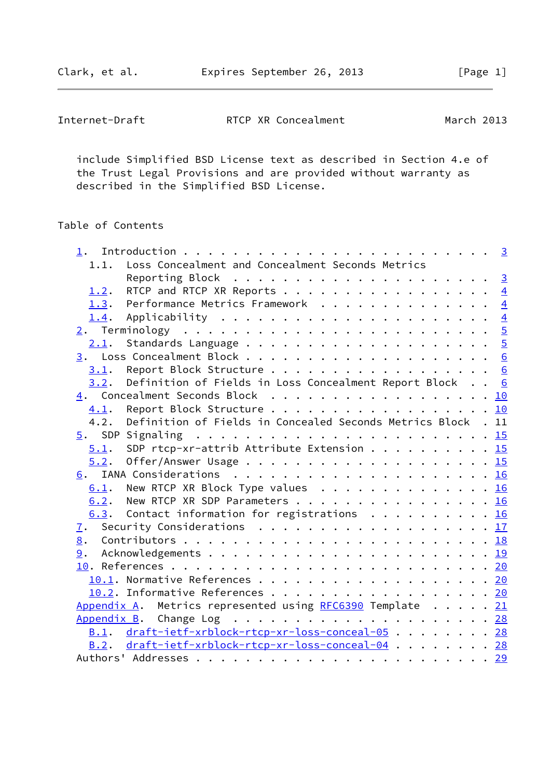Clark, et al. **Expires September 26, 2013** [Page 1]

| Internet-Draft | RTCP XR Concealment | March 2013 |
|----------------|---------------------|------------|
|                |                     |            |

 include Simplified BSD License text as described in Section 4.e of the Trust Legal Provisions and are provided without warranty as described in the Simplified BSD License.

# Table of Contents

|      | 1.1. Loss Concealment and Concealment Seconds Metrics        |  |
|------|--------------------------------------------------------------|--|
|      |                                                              |  |
| 1.2. | RTCP and RTCP XR Reports $\frac{4}{5}$                       |  |
|      | 1.3. Performance Metrics Framework 4                         |  |
|      | <u>1.4</u> . Applicability <u>4</u>                          |  |
|      |                                                              |  |
|      |                                                              |  |
|      |                                                              |  |
|      | 3.1. Report Block Structure 6                                |  |
| 3.2. | Definition of Fields in Loss Concealment Report Block 6      |  |
|      | 4. Concealment Seconds Block 10                              |  |
|      | 4.1. Report Block Structure 10                               |  |
| 4.2. | Definition of Fields in Concealed Seconds Metrics Block . 11 |  |
|      |                                                              |  |
| 5.1. | SDP rtcp-xr-attrib Attribute Extension 15                    |  |
| 5.2. |                                                              |  |
|      |                                                              |  |
|      | $\underline{6.1}$ . New RTCP XR Block Type values 16         |  |
|      | 6.2. New RTCP XR SDP Parameters 16                           |  |
|      | $\underline{6.3}$ . Contact information for registrations 16 |  |
|      | 7. Security Considerations 17                                |  |
|      |                                                              |  |
|      |                                                              |  |
|      |                                                              |  |
|      | 10.1. Normative References 20                                |  |
|      | 10.2. Informative References 20                              |  |
|      | Appendix A. Metrics represented using RFC6390 Template 21    |  |
|      |                                                              |  |
|      | B.1. draft-ietf-xrblock-rtcp-xr-loss-conceal-05 28           |  |
|      | B.2. draft-ietf-xrblock-rtcp-xr-loss-conceal-04 28           |  |
|      |                                                              |  |
|      |                                                              |  |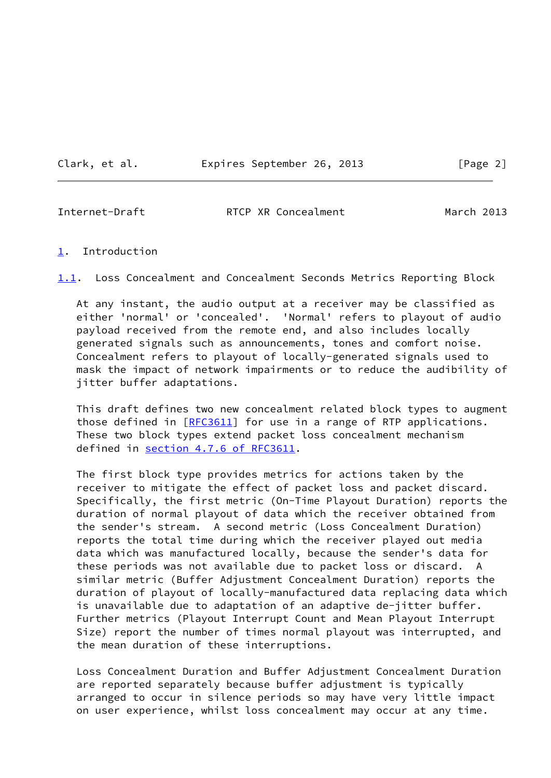Clark, et al. Expires September 26, 2013 [Page 2]

<span id="page-2-1"></span>

Internet-Draft RTCP XR Concealment March 2013

### <span id="page-2-0"></span>[1](#page-2-0). Introduction

<span id="page-2-2"></span>[1.1](#page-2-2). Loss Concealment and Concealment Seconds Metrics Reporting Block

 At any instant, the audio output at a receiver may be classified as either 'normal' or 'concealed'. 'Normal' refers to playout of audio payload received from the remote end, and also includes locally generated signals such as announcements, tones and comfort noise. Concealment refers to playout of locally-generated signals used to mask the impact of network impairments or to reduce the audibility of jitter buffer adaptations.

 This draft defines two new concealment related block types to augment those defined in [\[RFC3611](https://datatracker.ietf.org/doc/pdf/rfc3611)] for use in a range of RTP applications. These two block types extend packet loss concealment mechanism defined in section [4.7.6 of RFC3611.](https://datatracker.ietf.org/doc/pdf/rfc3611#section-4.7.6)

 The first block type provides metrics for actions taken by the receiver to mitigate the effect of packet loss and packet discard. Specifically, the first metric (On-Time Playout Duration) reports the duration of normal playout of data which the receiver obtained from the sender's stream. A second metric (Loss Concealment Duration) reports the total time during which the receiver played out media data which was manufactured locally, because the sender's data for these periods was not available due to packet loss or discard. A similar metric (Buffer Adjustment Concealment Duration) reports the duration of playout of locally-manufactured data replacing data which is unavailable due to adaptation of an adaptive de-jitter buffer. Further metrics (Playout Interrupt Count and Mean Playout Interrupt Size) report the number of times normal playout was interrupted, and the mean duration of these interruptions.

 Loss Concealment Duration and Buffer Adjustment Concealment Duration are reported separately because buffer adjustment is typically arranged to occur in silence periods so may have very little impact on user experience, whilst loss concealment may occur at any time.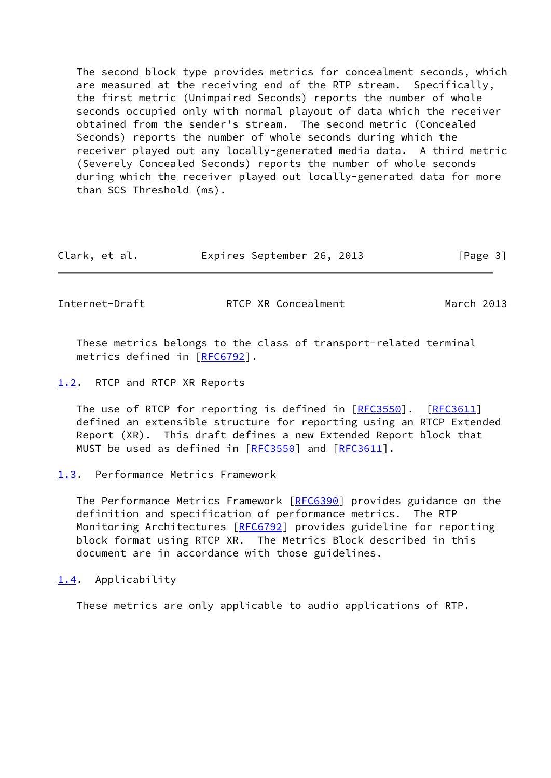The second block type provides metrics for concealment seconds, which are measured at the receiving end of the RTP stream. Specifically, the first metric (Unimpaired Seconds) reports the number of whole seconds occupied only with normal playout of data which the receiver obtained from the sender's stream. The second metric (Concealed Seconds) reports the number of whole seconds during which the receiver played out any locally-generated media data. A third metric (Severely Concealed Seconds) reports the number of whole seconds during which the receiver played out locally-generated data for more than SCS Threshold (ms).

| Clark, et al. | Expires September 26, 2013 | [Page 3] |
|---------------|----------------------------|----------|
|---------------|----------------------------|----------|

<span id="page-3-1"></span>Internet-Draft **RTCP XR Concealment** March 2013

 These metrics belongs to the class of transport-related terminal metrics defined in [[RFC6792\]](https://datatracker.ietf.org/doc/pdf/rfc6792).

<span id="page-3-0"></span>[1.2](#page-3-0). RTCP and RTCP XR Reports

The use of RTCP for reporting is defined in [\[RFC3550](https://datatracker.ietf.org/doc/pdf/rfc3550)]. [\[RFC3611](https://datatracker.ietf.org/doc/pdf/rfc3611)] defined an extensible structure for reporting using an RTCP Extended Report (XR). This draft defines a new Extended Report block that MUST be used as defined in [[RFC3550\]](https://datatracker.ietf.org/doc/pdf/rfc3550) and [\[RFC3611](https://datatracker.ietf.org/doc/pdf/rfc3611)].

The Performance Metrics Framework [[RFC6390](https://datatracker.ietf.org/doc/pdf/rfc6390)] provides guidance on the definition and specification of performance metrics. The RTP Monitoring Architectures [\[RFC6792](https://datatracker.ietf.org/doc/pdf/rfc6792)] provides guideline for reporting block format using RTCP XR. The Metrics Block described in this document are in accordance with those guidelines.

<span id="page-3-3"></span>[1.4](#page-3-3). Applicability

These metrics are only applicable to audio applications of RTP.

<span id="page-3-2"></span>[<sup>1.3</sup>](#page-3-2). Performance Metrics Framework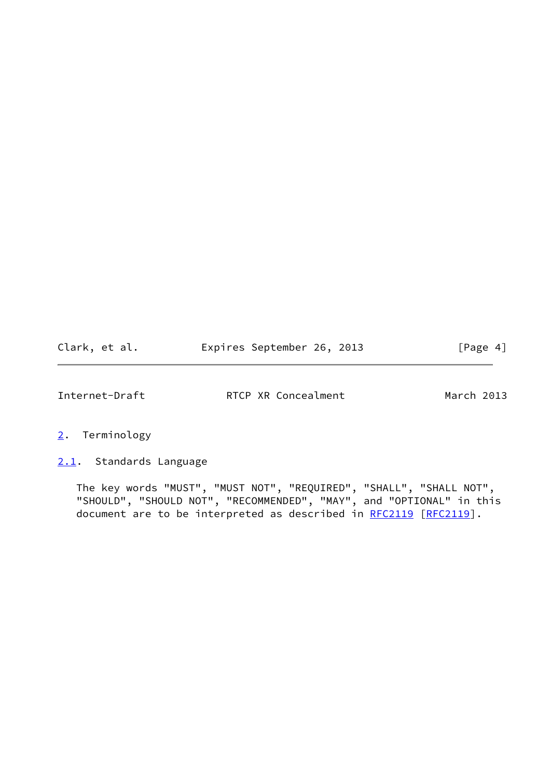| Clark, et al. |  | Expires September 26, 2013 |  |  | [Page 4] |  |
|---------------|--|----------------------------|--|--|----------|--|
|---------------|--|----------------------------|--|--|----------|--|

<span id="page-4-1"></span>

- <span id="page-4-0"></span>[2](#page-4-0). Terminology
- <span id="page-4-2"></span>[2.1](#page-4-2). Standards Language

 The key words "MUST", "MUST NOT", "REQUIRED", "SHALL", "SHALL NOT", "SHOULD", "SHOULD NOT", "RECOMMENDED", "MAY", and "OPTIONAL" in this document are to be interpreted as described in [RFC2119](https://datatracker.ietf.org/doc/pdf/rfc2119) [\[RFC2119](https://datatracker.ietf.org/doc/pdf/rfc2119)].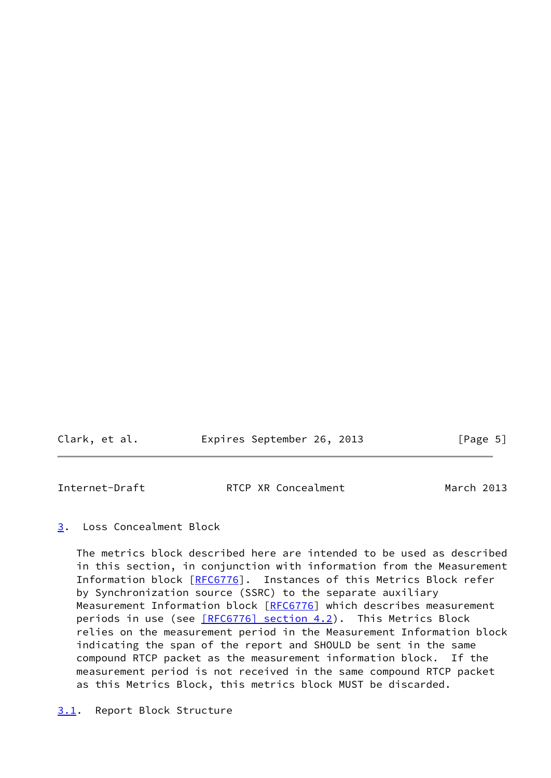| Clark, et al. | Expires September 26, 2013 |  | [Page 5] |  |
|---------------|----------------------------|--|----------|--|
|               |                            |  |          |  |

<span id="page-5-1"></span>

| Internet-Draft | RTCP XR Concealment | March 2013 |
|----------------|---------------------|------------|
|                |                     |            |

# <span id="page-5-0"></span>[3](#page-5-0). Loss Concealment Block

<span id="page-5-2"></span> The metrics block described here are intended to be used as described in this section, in conjunction with information from the Measurement Information block [[RFC6776](https://datatracker.ietf.org/doc/pdf/rfc6776)]. Instances of this Metrics Block refer by Synchronization source (SSRC) to the separate auxiliary Measurement Information block [[RFC6776](https://datatracker.ietf.org/doc/pdf/rfc6776)] which describes measurement periods in use (see [\[RFC6776\] section](https://datatracker.ietf.org/doc/pdf/rfc6776#section-4.2) 4.2). This Metrics Block relies on the measurement period in the Measurement Information block indicating the span of the report and SHOULD be sent in the same compound RTCP packet as the measurement information block. If the measurement period is not received in the same compound RTCP packet as this Metrics Block, this metrics block MUST be discarded.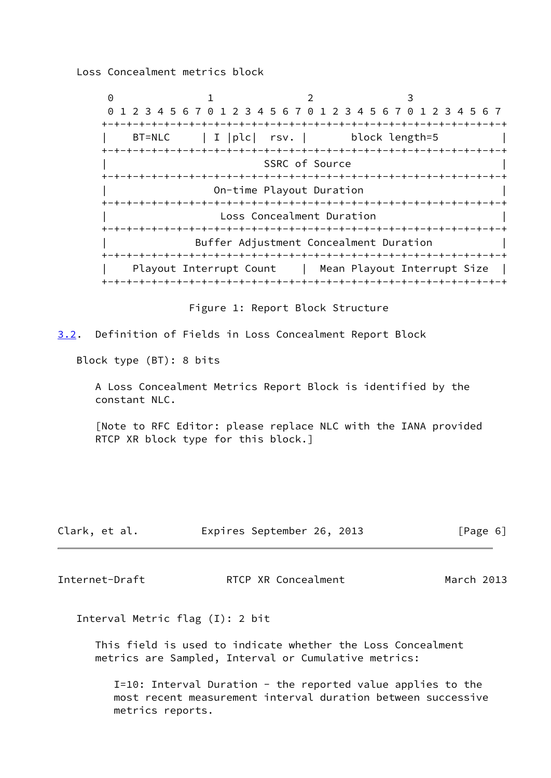Loss Concealment metrics block

0 1 2 3 0 1 2 3 4 5 6 7 0 1 2 3 4 5 6 7 0 1 2 3 4 5 6 7 0 1 2 3 4 5 6 7 +-+-+-+-+-+-+-+-+-+-+-+-+-+-+-+-+-+-+-+-+-+-+-+-+-+-+-+-+-+-+-+-+ BT=NLC | I | plc | rsv. | block length=5 +-+-+-+-+-+-+-+-+-+-+-+-+-+-+-+-+-+-+-+-+-+-+-+-+-+-+-+-+-+-+-+-+ SSRC of Source +-+-+-+-+-+-+-+-+-+-+-+-+-+-+-+-+-+-+-+-+-+-+-+-+-+-+-+-+-+-+-+-+ On-time Playout Duration +-+-+-+-+-+-+-+-+-+-+-+-+-+-+-+-+-+-+-+-+-+-+-+-+-+-+-+-+-+-+-+-+ Loss Concealment Duration +-+-+-+-+-+-+-+-+-+-+-+-+-+-+-+-+-+-+-+-+-+-+-+-+-+-+-+-+-+-+-+-+ Buffer Adjustment Concealment Duration +-+-+-+-+-+-+-+-+-+-+-+-+-+-+-+-+-+-+-+-+-+-+-+-+-+-+-+-+-+-+-+-+ Playout Interrupt Count | Mean Playout Interrupt Size +-+-+-+-+-+-+-+-+-+-+-+-+-+-+-+-+-+-+-+-+-+-+-+-+-+-+-+-+-+-+-+-+

Figure 1: Report Block Structure

<span id="page-6-0"></span>[3.2](#page-6-0). Definition of Fields in Loss Concealment Report Block

Block type (BT): 8 bits

 A Loss Concealment Metrics Report Block is identified by the constant NLC.

 [Note to RFC Editor: please replace NLC with the IANA provided RTCP XR block type for this block.]

| Clark, et al. |  | Expires September 26, 2013 |  |  | [Page 6] |
|---------------|--|----------------------------|--|--|----------|
|---------------|--|----------------------------|--|--|----------|

Internet-Draft RTCP XR Concealment March 2013

Interval Metric flag (I): 2 bit

 This field is used to indicate whether the Loss Concealment metrics are Sampled, Interval or Cumulative metrics:

 I=10: Interval Duration - the reported value applies to the most recent measurement interval duration between successive metrics reports.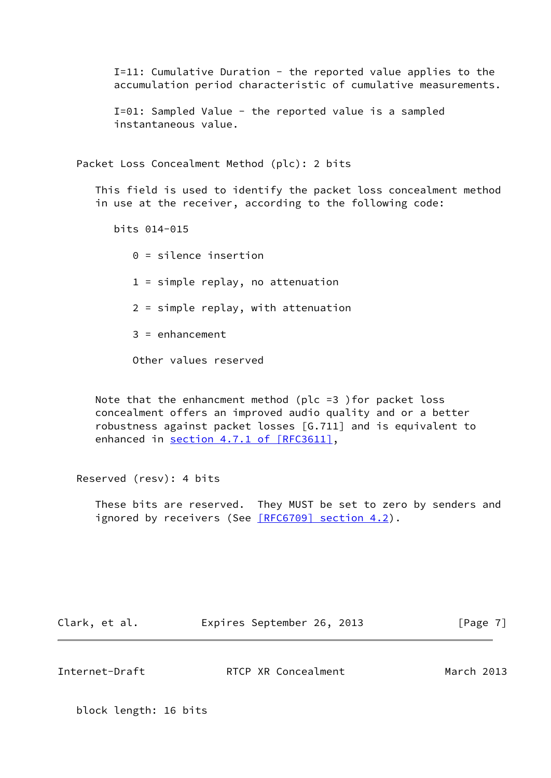I=11: Cumulative Duration - the reported value applies to the accumulation period characteristic of cumulative measurements.

 I=01: Sampled Value - the reported value is a sampled instantaneous value.

Packet Loss Concealment Method (plc): 2 bits

 This field is used to identify the packet loss concealment method in use at the receiver, according to the following code:

bits 014-015

 0 = silence insertion 1 = simple replay, no attenuation 2 = simple replay, with attenuation 3 = enhancement

Other values reserved

 Note that the enhancment method (plc =3 )for packet loss concealment offers an improved audio quality and or a better robustness against packet losses [G.711] and is equivalent to enhanced in section [4.7.1 of \[RFC3611\],](https://datatracker.ietf.org/doc/pdf/rfc3611#section-4.7.1)

Reserved (resv): 4 bits

 These bits are reserved. They MUST be set to zero by senders and ignored by receivers (See [\[RFC6709\] section](https://datatracker.ietf.org/doc/pdf/rfc6709#section-4.2) 4.2).

Clark, et al. **Expires September 26, 2013** [Page 7]

Internet-Draft RTCP XR Concealment March 2013

block length: 16 bits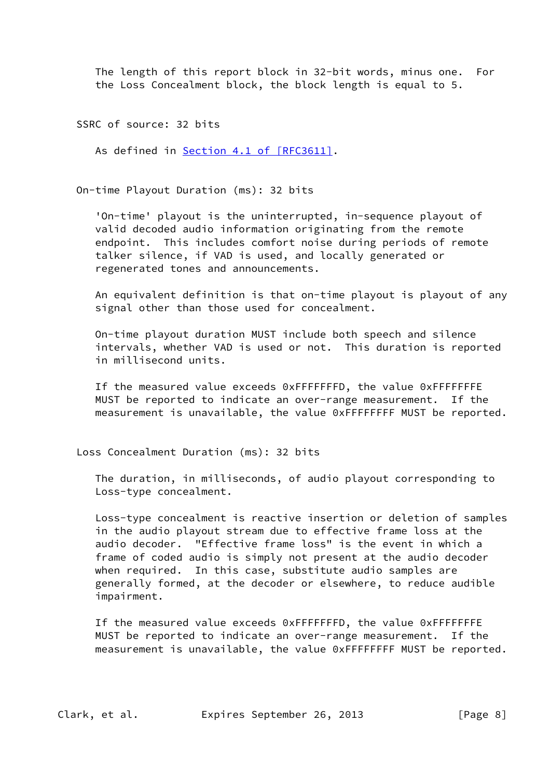The length of this report block in 32-bit words, minus one. For the Loss Concealment block, the block length is equal to 5.

SSRC of source: 32 bits

As defined in Section [4.1 of \[RFC3611\]](https://datatracker.ietf.org/doc/pdf/rfc3611#section-4.1).

On-time Playout Duration (ms): 32 bits

 'On-time' playout is the uninterrupted, in-sequence playout of valid decoded audio information originating from the remote endpoint. This includes comfort noise during periods of remote talker silence, if VAD is used, and locally generated or regenerated tones and announcements.

 An equivalent definition is that on-time playout is playout of any signal other than those used for concealment.

 On-time playout duration MUST include both speech and silence intervals, whether VAD is used or not. This duration is reported in millisecond units.

 If the measured value exceeds 0xFFFFFFFD, the value 0xFFFFFFFE MUST be reported to indicate an over-range measurement. If the measurement is unavailable, the value 0xFFFFFFFF MUST be reported.

Loss Concealment Duration (ms): 32 bits

 The duration, in milliseconds, of audio playout corresponding to Loss-type concealment.

 Loss-type concealment is reactive insertion or deletion of samples in the audio playout stream due to effective frame loss at the audio decoder. "Effective frame loss" is the event in which a frame of coded audio is simply not present at the audio decoder when required. In this case, substitute audio samples are generally formed, at the decoder or elsewhere, to reduce audible impairment.

 If the measured value exceeds 0xFFFFFFFD, the value 0xFFFFFFFE MUST be reported to indicate an over-range measurement. If the measurement is unavailable, the value 0xFFFFFFFF MUST be reported.

Clark, et al. Expires September 26, 2013 [Page 8]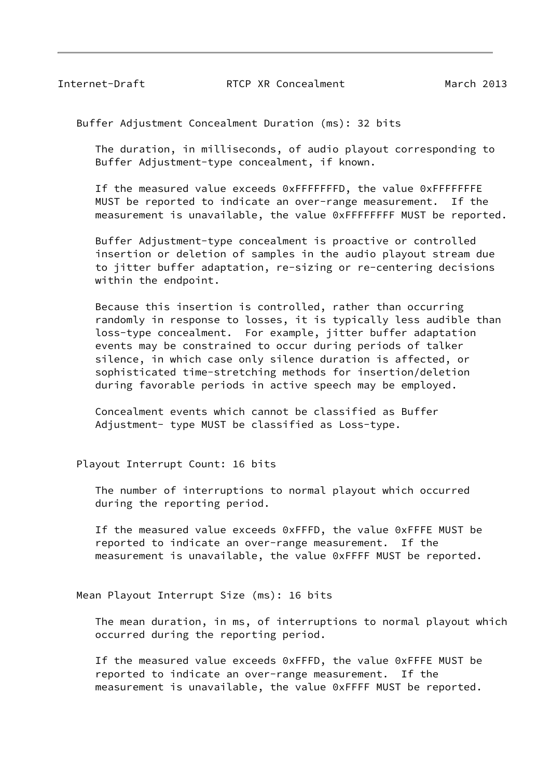Buffer Adjustment Concealment Duration (ms): 32 bits

 The duration, in milliseconds, of audio playout corresponding to Buffer Adjustment-type concealment, if known.

 If the measured value exceeds 0xFFFFFFFD, the value 0xFFFFFFFE MUST be reported to indicate an over-range measurement. If the measurement is unavailable, the value 0xFFFFFFFF MUST be reported.

 Buffer Adjustment-type concealment is proactive or controlled insertion or deletion of samples in the audio playout stream due to jitter buffer adaptation, re-sizing or re-centering decisions within the endpoint.

 Because this insertion is controlled, rather than occurring randomly in response to losses, it is typically less audible than loss-type concealment. For example, jitter buffer adaptation events may be constrained to occur during periods of talker silence, in which case only silence duration is affected, or sophisticated time-stretching methods for insertion/deletion during favorable periods in active speech may be employed.

 Concealment events which cannot be classified as Buffer Adjustment- type MUST be classified as Loss-type.

Playout Interrupt Count: 16 bits

 The number of interruptions to normal playout which occurred during the reporting period.

 If the measured value exceeds 0xFFFD, the value 0xFFFE MUST be reported to indicate an over-range measurement. If the measurement is unavailable, the value 0xFFFF MUST be reported.

Mean Playout Interrupt Size (ms): 16 bits

 The mean duration, in ms, of interruptions to normal playout which occurred during the reporting period.

 If the measured value exceeds 0xFFFD, the value 0xFFFE MUST be reported to indicate an over-range measurement. If the measurement is unavailable, the value 0xFFFF MUST be reported.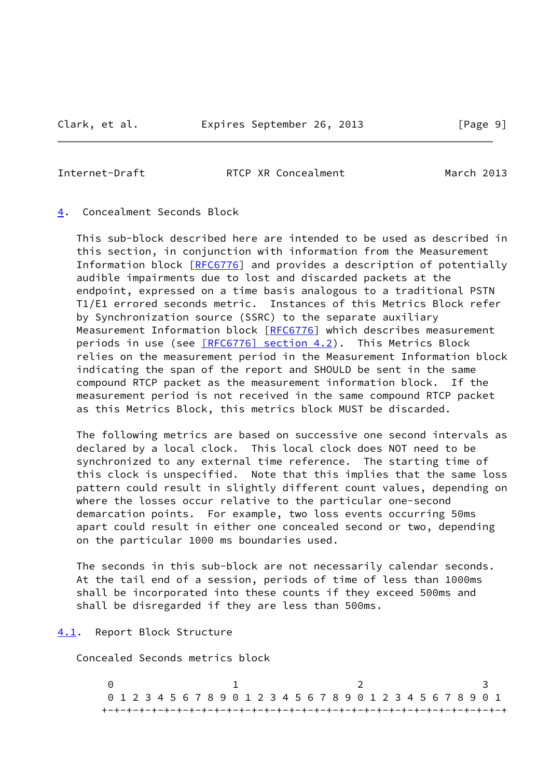<span id="page-10-1"></span>

## <span id="page-10-0"></span>[4](#page-10-0). Concealment Seconds Block

 This sub-block described here are intended to be used as described in this section, in conjunction with information from the Measurement Information block [[RFC6776](https://datatracker.ietf.org/doc/pdf/rfc6776)] and provides a description of potentially audible impairments due to lost and discarded packets at the endpoint, expressed on a time basis analogous to a traditional PSTN T1/E1 errored seconds metric. Instances of this Metrics Block refer by Synchronization source (SSRC) to the separate auxiliary Measurement Information block [[RFC6776](https://datatracker.ietf.org/doc/pdf/rfc6776)] which describes measurement periods in use (see [\[RFC6776\] section](https://datatracker.ietf.org/doc/pdf/rfc6776#section-4.2) 4.2). This Metrics Block relies on the measurement period in the Measurement Information block indicating the span of the report and SHOULD be sent in the same compound RTCP packet as the measurement information block. If the measurement period is not received in the same compound RTCP packet as this Metrics Block, this metrics block MUST be discarded.

 The following metrics are based on successive one second intervals as declared by a local clock. This local clock does NOT need to be synchronized to any external time reference. The starting time of this clock is unspecified. Note that this implies that the same loss pattern could result in slightly different count values, depending on where the losses occur relative to the particular one-second demarcation points. For example, two loss events occurring 50ms apart could result in either one concealed second or two, depending on the particular 1000 ms boundaries used.

 The seconds in this sub-block are not necessarily calendar seconds. At the tail end of a session, periods of time of less than 1000ms shall be incorporated into these counts if they exceed 500ms and shall be disregarded if they are less than 500ms.

#### <span id="page-10-2"></span>[4.1](#page-10-2). Report Block Structure

Concealed Seconds metrics block

 $0$  1 2 3 0 1 2 3 4 5 6 7 8 9 0 1 2 3 4 5 6 7 8 9 0 1 2 3 4 5 6 7 8 9 0 1 +-+-+-+-+-+-+-+-+-+-+-+-+-+-+-+-+-+-+-+-+-+-+-+-+-+-+-+-+-+-+-+-+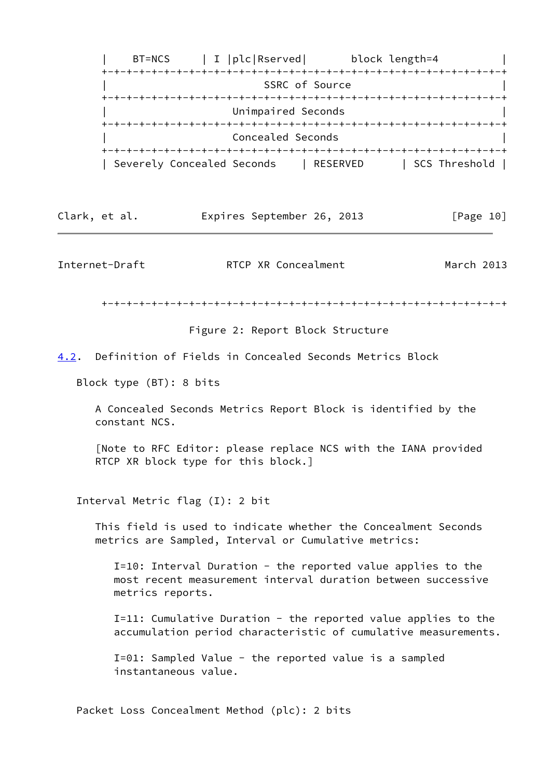

| Clark, et al. |  | Expires September 26, 2013 |  |  | [Page 10] |
|---------------|--|----------------------------|--|--|-----------|
|---------------|--|----------------------------|--|--|-----------|

+-+-+-+-+-+-+-+-+-+-+-+-+-+-+-+-+-+-+-+-+-+-+-+-+-+-+-+-+-+-+-+-+

Figure 2: Report Block Structure

<span id="page-11-0"></span>[4.2](#page-11-0). Definition of Fields in Concealed Seconds Metrics Block

Block type (BT): 8 bits

 A Concealed Seconds Metrics Report Block is identified by the constant NCS.

 [Note to RFC Editor: please replace NCS with the IANA provided RTCP XR block type for this block.]

Interval Metric flag (I): 2 bit

 This field is used to indicate whether the Concealment Seconds metrics are Sampled, Interval or Cumulative metrics:

 I=10: Interval Duration - the reported value applies to the most recent measurement interval duration between successive metrics reports.

 I=11: Cumulative Duration - the reported value applies to the accumulation period characteristic of cumulative measurements.

 I=01: Sampled Value - the reported value is a sampled instantaneous value.

Packet Loss Concealment Method (plc): 2 bits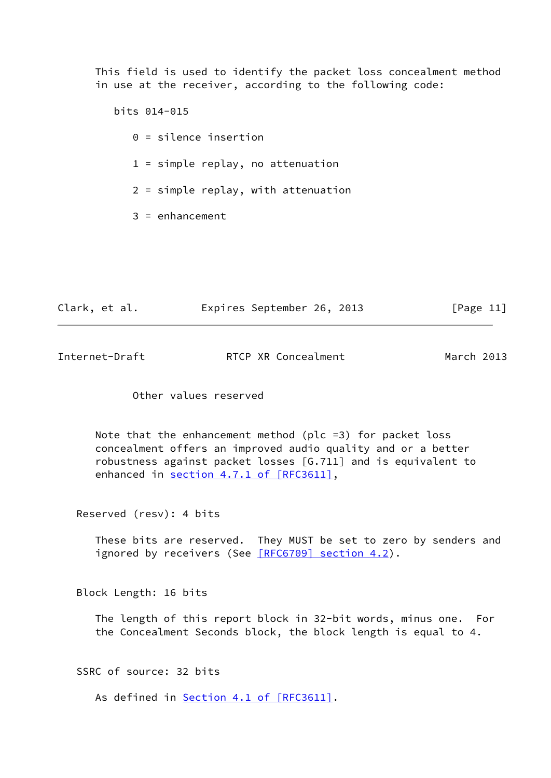This field is used to identify the packet loss concealment method in use at the receiver, according to the following code:

 bits 014-015 0 = silence insertion 1 = simple replay, no attenuation 2 = simple replay, with attenuation  $3 =$ enhancement

| Clark, et al. |  | Expires September 26, 2013 |  |  | [Page 11] |  |
|---------------|--|----------------------------|--|--|-----------|--|
|---------------|--|----------------------------|--|--|-----------|--|

| Internet-Draft | RTCP XR Concealment | March 2013 |
|----------------|---------------------|------------|
|                |                     |            |

Other values reserved

 Note that the enhancement method (plc =3) for packet loss concealment offers an improved audio quality and or a better robustness against packet losses [G.711] and is equivalent to enhanced in section [4.7.1 of \[RFC3611\],](https://datatracker.ietf.org/doc/pdf/rfc3611#section-4.7.1)

Reserved (resv): 4 bits

 These bits are reserved. They MUST be set to zero by senders and ignored by receivers (See [\[RFC6709\] section](https://datatracker.ietf.org/doc/pdf/rfc6709#section-4.2) 4.2).

Block Length: 16 bits

 The length of this report block in 32-bit words, minus one. For the Concealment Seconds block, the block length is equal to 4.

SSRC of source: 32 bits

As defined in **Section [4.1 of \[RFC3611\]](https://datatracker.ietf.org/doc/pdf/rfc3611#section-4.1)**.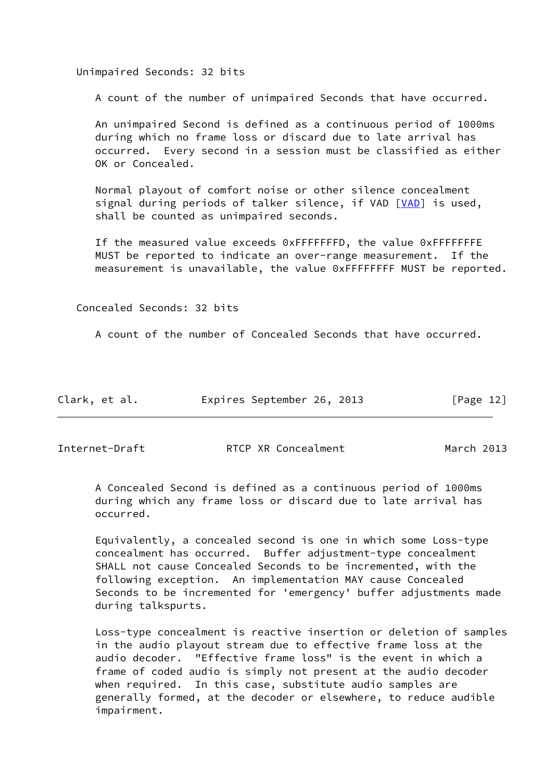Unimpaired Seconds: 32 bits

A count of the number of unimpaired Seconds that have occurred.

 An unimpaired Second is defined as a continuous period of 1000ms during which no frame loss or discard due to late arrival has occurred. Every second in a session must be classified as either OK or Concealed.

 Normal playout of comfort noise or other silence concealment signal during periods of talker silence, if VAD [[VAD\]](#page-22-3) is used, shall be counted as unimpaired seconds.

 If the measured value exceeds 0xFFFFFFFD, the value 0xFFFFFFFE MUST be reported to indicate an over-range measurement. If the measurement is unavailable, the value 0xFFFFFFFF MUST be reported.

Concealed Seconds: 32 bits

A count of the number of Concealed Seconds that have occurred.

| Clark, et al. | Expires September 26, 2013 |  |  |  | [Page 12] |  |
|---------------|----------------------------|--|--|--|-----------|--|
|---------------|----------------------------|--|--|--|-----------|--|

Internet-Draft RTCP XR Concealment March 2013

 A Concealed Second is defined as a continuous period of 1000ms during which any frame loss or discard due to late arrival has occurred.

 Equivalently, a concealed second is one in which some Loss-type concealment has occurred. Buffer adjustment-type concealment SHALL not cause Concealed Seconds to be incremented, with the following exception. An implementation MAY cause Concealed Seconds to be incremented for 'emergency' buffer adjustments made during talkspurts.

 Loss-type concealment is reactive insertion or deletion of samples in the audio playout stream due to effective frame loss at the audio decoder. "Effective frame loss" is the event in which a frame of coded audio is simply not present at the audio decoder when required. In this case, substitute audio samples are generally formed, at the decoder or elsewhere, to reduce audible impairment.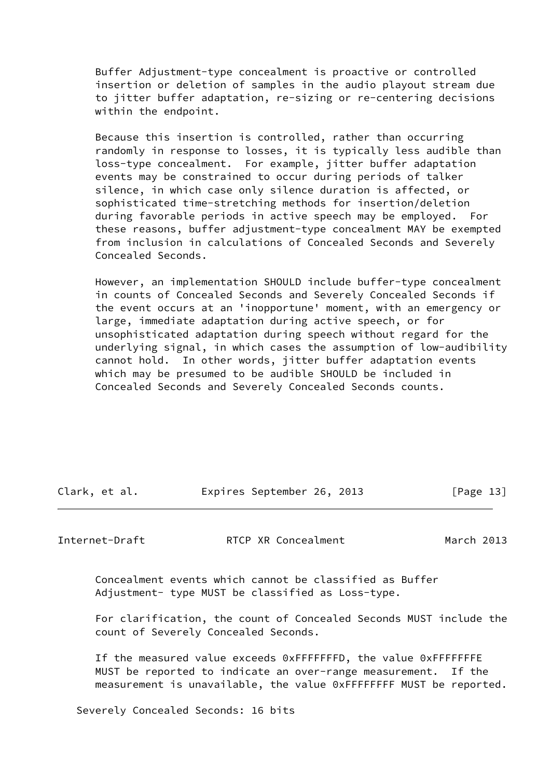Buffer Adjustment-type concealment is proactive or controlled insertion or deletion of samples in the audio playout stream due to jitter buffer adaptation, re-sizing or re-centering decisions within the endpoint.

 Because this insertion is controlled, rather than occurring randomly in response to losses, it is typically less audible than loss-type concealment. For example, jitter buffer adaptation events may be constrained to occur during periods of talker silence, in which case only silence duration is affected, or sophisticated time-stretching methods for insertion/deletion during favorable periods in active speech may be employed. For these reasons, buffer adjustment-type concealment MAY be exempted from inclusion in calculations of Concealed Seconds and Severely Concealed Seconds.

 However, an implementation SHOULD include buffer-type concealment in counts of Concealed Seconds and Severely Concealed Seconds if the event occurs at an 'inopportune' moment, with an emergency or large, immediate adaptation during active speech, or for unsophisticated adaptation during speech without regard for the underlying signal, in which cases the assumption of low-audibility cannot hold. In other words, jitter buffer adaptation events which may be presumed to be audible SHOULD be included in Concealed Seconds and Severely Concealed Seconds counts.

| Clark, et al. | Expires September 26, 2013 |  | [Page 13] |
|---------------|----------------------------|--|-----------|
|               |                            |  |           |

Internet-Draft RTCP XR Concealment March 2013

 Concealment events which cannot be classified as Buffer Adjustment- type MUST be classified as Loss-type.

 For clarification, the count of Concealed Seconds MUST include the count of Severely Concealed Seconds.

 If the measured value exceeds 0xFFFFFFFD, the value 0xFFFFFFFE MUST be reported to indicate an over-range measurement. If the measurement is unavailable, the value 0xFFFFFFFF MUST be reported.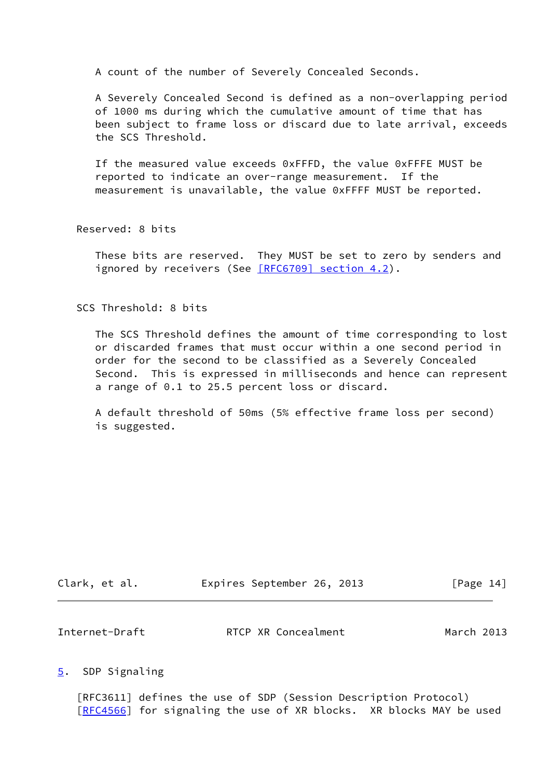A count of the number of Severely Concealed Seconds.

 A Severely Concealed Second is defined as a non-overlapping period of 1000 ms during which the cumulative amount of time that has been subject to frame loss or discard due to late arrival, exceeds the SCS Threshold.

 If the measured value exceeds 0xFFFD, the value 0xFFFE MUST be reported to indicate an over-range measurement. If the measurement is unavailable, the value 0xFFFF MUST be reported.

Reserved: 8 bits

 These bits are reserved. They MUST be set to zero by senders and ignored by receivers (See [\[RFC6709\] section](https://datatracker.ietf.org/doc/pdf/rfc6709#section-4.2) 4.2).

SCS Threshold: 8 bits

 The SCS Threshold defines the amount of time corresponding to lost or discarded frames that must occur within a one second period in order for the second to be classified as a Severely Concealed Second. This is expressed in milliseconds and hence can represent a range of 0.1 to 25.5 percent loss or discard.

 A default threshold of 50ms (5% effective frame loss per second) is suggested.

| Clark, et al. | Expires September 26, 2013 |  | [Page 14] |
|---------------|----------------------------|--|-----------|
|---------------|----------------------------|--|-----------|

<span id="page-15-1"></span>Internet-Draft RTCP XR Concealment March 2013

<span id="page-15-0"></span>[5](#page-15-0). SDP Signaling

 [RFC3611] defines the use of SDP (Session Description Protocol) [\[RFC4566](https://datatracker.ietf.org/doc/pdf/rfc4566)] for signaling the use of XR blocks. XR blocks MAY be used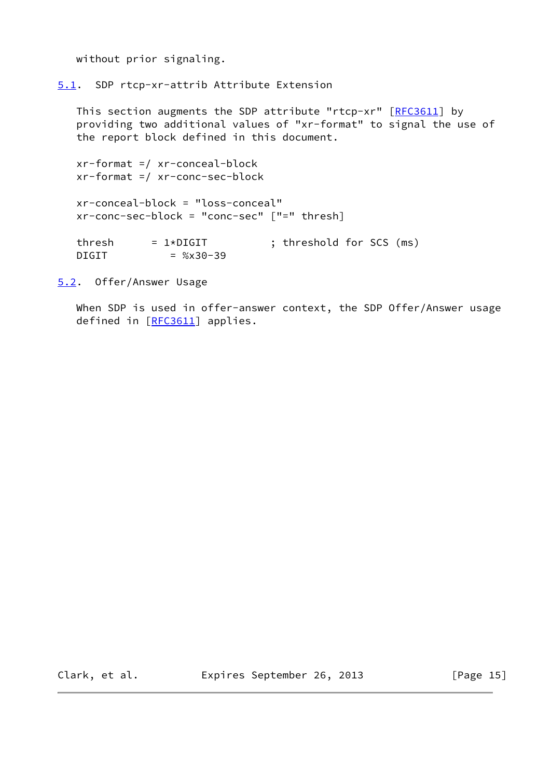without prior signaling.

<span id="page-16-0"></span>[5.1](#page-16-0). SDP rtcp-xr-attrib Attribute Extension

This section augments the SDP attribute "rtcp-xr" [[RFC3611](https://datatracker.ietf.org/doc/pdf/rfc3611)] by providing two additional values of "xr-format" to signal the use of the report block defined in this document.

```
 xr-format =/ xr-conceal-block
 xr-format =/ xr-conc-sec-block
 xr-conceal-block = "loss-conceal"
 xr-conc-sec-block = "conc-sec" ["=" thresh]
threshold for SCS (ms) = 1*DIGIT ; threshold for SCS (ms)DIGIT = %x30-39
```
<span id="page-16-1"></span>[5.2](#page-16-1). Offer/Answer Usage

When SDP is used in offer-answer context, the SDP Offer/Answer usage defined in [[RFC3611\]](https://datatracker.ietf.org/doc/pdf/rfc3611) applies.

Clark, et al. **Expires September 26, 2013** [Page 15]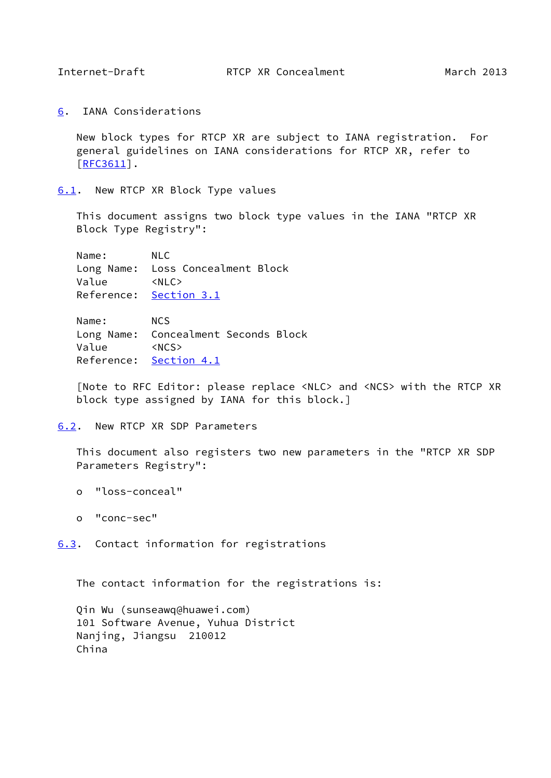<span id="page-17-1"></span>

<span id="page-17-0"></span>[6](#page-17-0). IANA Considerations

 New block types for RTCP XR are subject to IANA registration. For general guidelines on IANA considerations for RTCP XR, refer to [\[RFC3611](https://datatracker.ietf.org/doc/pdf/rfc3611)].

<span id="page-17-2"></span>[6.1](#page-17-2). New RTCP XR Block Type values

 This document assigns two block type values in the IANA "RTCP XR Block Type Registry":

 Name: NLC Long Name: Loss Concealment Block Value <NLC> Reference: [Section 3.1](#page-5-2)

 Name: NCS Long Name: Concealment Seconds Block Value <NCS> Reference: [Section 4.1](#page-10-2)

 [Note to RFC Editor: please replace <NLC> and <NCS> with the RTCP XR block type assigned by IANA for this block.]

<span id="page-17-3"></span>[6.2](#page-17-3). New RTCP XR SDP Parameters

 This document also registers two new parameters in the "RTCP XR SDP Parameters Registry":

- o "loss-conceal"
- o "conc-sec"

<span id="page-17-4"></span>[6.3](#page-17-4). Contact information for registrations

The contact information for the registrations is:

 Qin Wu (sunseawq@huawei.com) 101 Software Avenue, Yuhua District Nanjing, Jiangsu 210012 China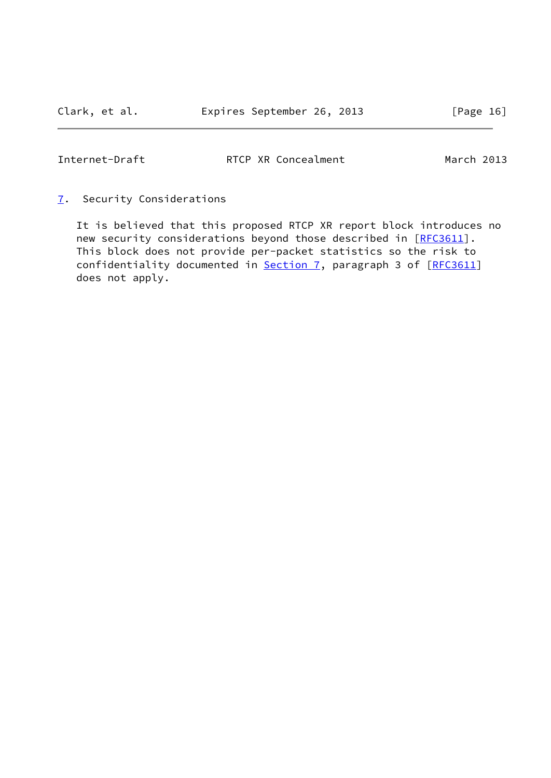<span id="page-18-1"></span>

<span id="page-18-0"></span>[7](#page-18-0). Security Considerations

 It is believed that this proposed RTCP XR report block introduces no new security considerations beyond those described in [[RFC3611](https://datatracker.ietf.org/doc/pdf/rfc3611)]. This block does not provide per-packet statistics so the risk to confidentiality documented in [Section 7,](#page-18-0) paragraph 3 of [\[RFC3611](https://datatracker.ietf.org/doc/pdf/rfc3611)] does not apply.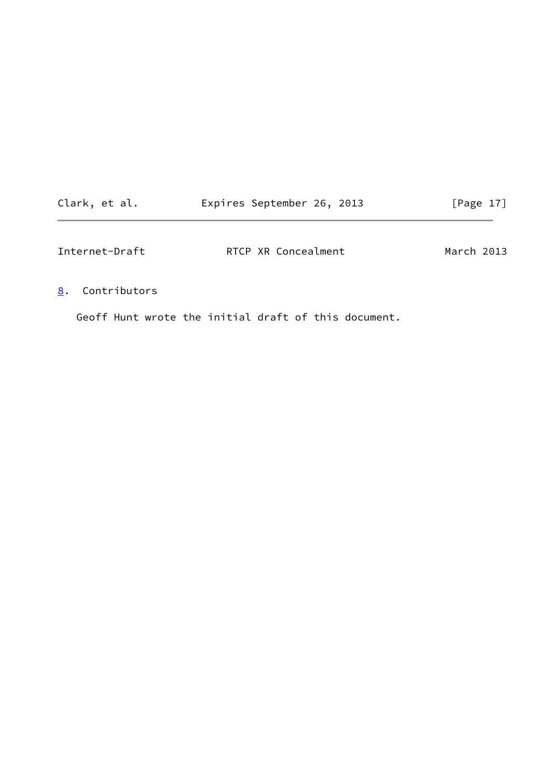<span id="page-19-1"></span>

| Clark, et al. |  | Expires September 26, 2013 |  |  | [Page 17] |  |
|---------------|--|----------------------------|--|--|-----------|--|
|---------------|--|----------------------------|--|--|-----------|--|

# <span id="page-19-0"></span>[8](#page-19-0). Contributors

Geoff Hunt wrote the initial draft of this document.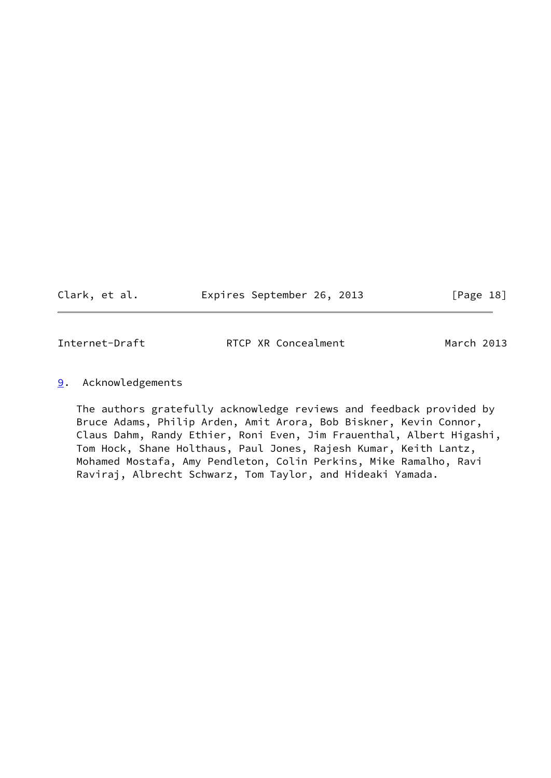Clark, et al. **Expires September 26, 2013** [Page 18]

<span id="page-20-1"></span>

Internet-Draft **RTCP XR Concealment** March 2013

# <span id="page-20-0"></span>[9](#page-20-0). Acknowledgements

 The authors gratefully acknowledge reviews and feedback provided by Bruce Adams, Philip Arden, Amit Arora, Bob Biskner, Kevin Connor, Claus Dahm, Randy Ethier, Roni Even, Jim Frauenthal, Albert Higashi, Tom Hock, Shane Holthaus, Paul Jones, Rajesh Kumar, Keith Lantz, Mohamed Mostafa, Amy Pendleton, Colin Perkins, Mike Ramalho, Ravi Raviraj, Albrecht Schwarz, Tom Taylor, and Hideaki Yamada.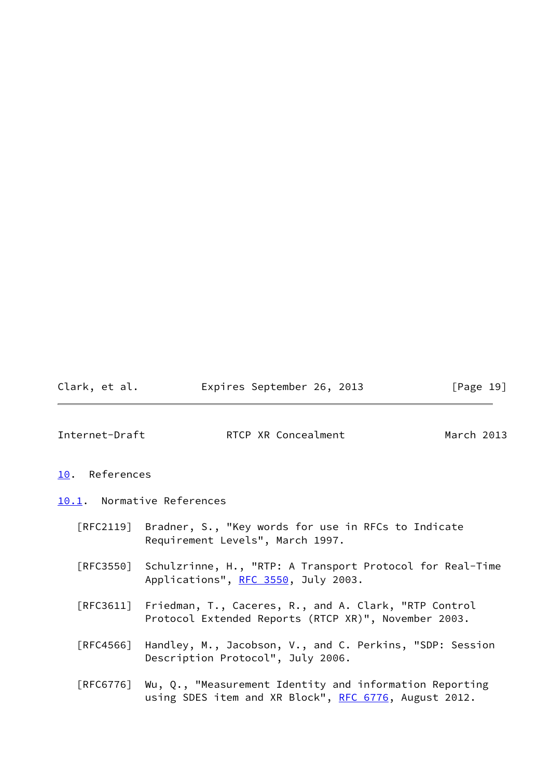Clark, et al. **Expires September 26, 2013** [Page 19]

<span id="page-21-1"></span>

- <span id="page-21-0"></span>[10.](#page-21-0) References
- <span id="page-21-2"></span>[10.1](#page-21-2). Normative References
	- [RFC2119] Bradner, S., "Key words for use in RFCs to Indicate Requirement Levels", March 1997.
	- [RFC3550] Schulzrinne, H., "RTP: A Transport Protocol for Real-Time Applications", [RFC 3550](https://datatracker.ietf.org/doc/pdf/rfc3550), July 2003.
	- [RFC3611] Friedman, T., Caceres, R., and A. Clark, "RTP Control Protocol Extended Reports (RTCP XR)", November 2003.
	- [RFC4566] Handley, M., Jacobson, V., and C. Perkins, "SDP: Session Description Protocol", July 2006.
	- [RFC6776] Wu, Q., "Measurement Identity and information Reporting using SDES item and XR Block", [RFC 6776](https://datatracker.ietf.org/doc/pdf/rfc6776), August 2012.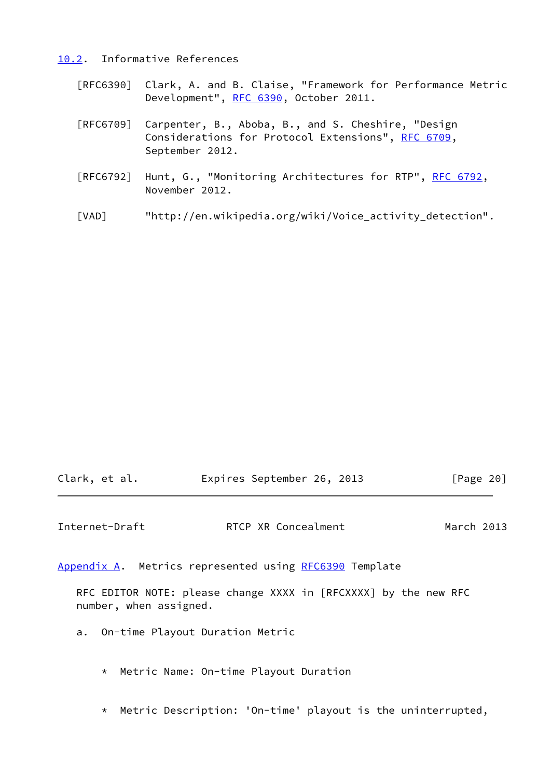#### <span id="page-22-0"></span>[10.2](#page-22-0). Informative References

- [RFC6390] Clark, A. and B. Claise, "Framework for Performance Metric Development", [RFC 6390](https://datatracker.ietf.org/doc/pdf/rfc6390), October 2011.
- [RFC6709] Carpenter, B., Aboba, B., and S. Cheshire, "Design Considerations for Protocol Extensions", [RFC 6709,](https://datatracker.ietf.org/doc/pdf/rfc6709) September 2012.
- [RFC6792] Hunt, G., "Monitoring Architectures for RTP", [RFC 6792](https://datatracker.ietf.org/doc/pdf/rfc6792), November 2012.
- <span id="page-22-3"></span>[VAD] "http://en.wikipedia.org/wiki/Voice\_activity\_detection".

| Clark, et al. |  | Expires September 26, 2013 |  |  | [Page 20] |
|---------------|--|----------------------------|--|--|-----------|
|---------------|--|----------------------------|--|--|-----------|

<span id="page-22-2"></span>Internet-Draft RTCP XR Concealment March 2013

<span id="page-22-1"></span>[Appendix A.](#page-22-1) Metrics represented using [RFC6390](https://datatracker.ietf.org/doc/pdf/rfc6390) Template

 RFC EDITOR NOTE: please change XXXX in [RFCXXXX] by the new RFC number, when assigned.

- a. On-time Playout Duration Metric
	- \* Metric Name: On-time Playout Duration
	- \* Metric Description: 'On-time' playout is the uninterrupted,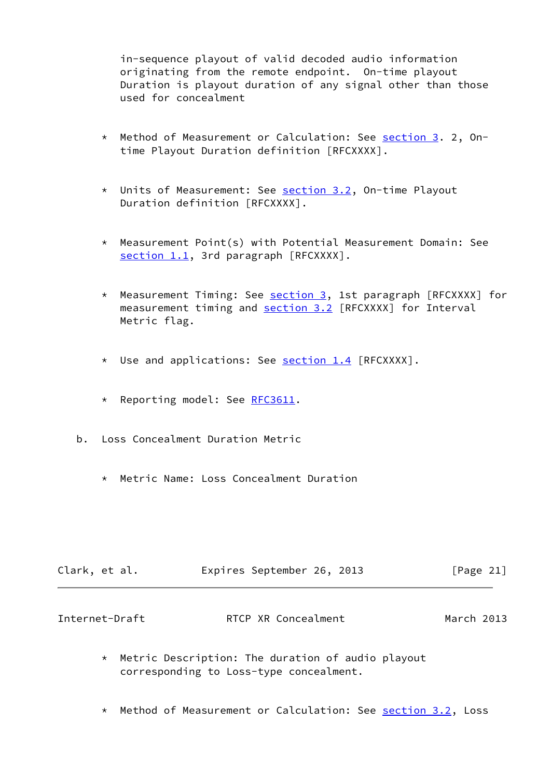in-sequence playout of valid decoded audio information originating from the remote endpoint. On-time playout Duration is playout duration of any signal other than those used for concealment

- \* Method of Measurement or Calculation: See [section 3](#page-5-0). 2, On time Playout Duration definition [RFCXXXX].
- \* Units of Measurement: See [section 3.2](#page-6-0), On-time Playout Duration definition [RFCXXXX].
- \* Measurement Point(s) with Potential Measurement Domain: See [section 1.1](#page-2-2), 3rd paragraph [RFCXXXX].
- \* Measurement Timing: See [section 3,](#page-5-0) 1st paragraph [RFCXXXX] for measurement timing and [section 3.2](#page-6-0) [RFCXXXX] for Interval Metric flag.
- \* Use and applications: See **section 1.4** [RFCXXXX].
- \* Reporting model: See [RFC3611.](https://datatracker.ietf.org/doc/pdf/rfc3611)
- b. Loss Concealment Duration Metric
	- \* Metric Name: Loss Concealment Duration

| Clark, et al. | Expires September 26, 2013 |  | [Page 21] |  |
|---------------|----------------------------|--|-----------|--|
|               |                            |  |           |  |

| March 2013<br>Internet-Draft<br>RTCP XR Concealment |
|-----------------------------------------------------|
|-----------------------------------------------------|

- \* Metric Description: The duration of audio playout corresponding to Loss-type concealment.
- \* Method of Measurement or Calculation: See **section 3.2**, Loss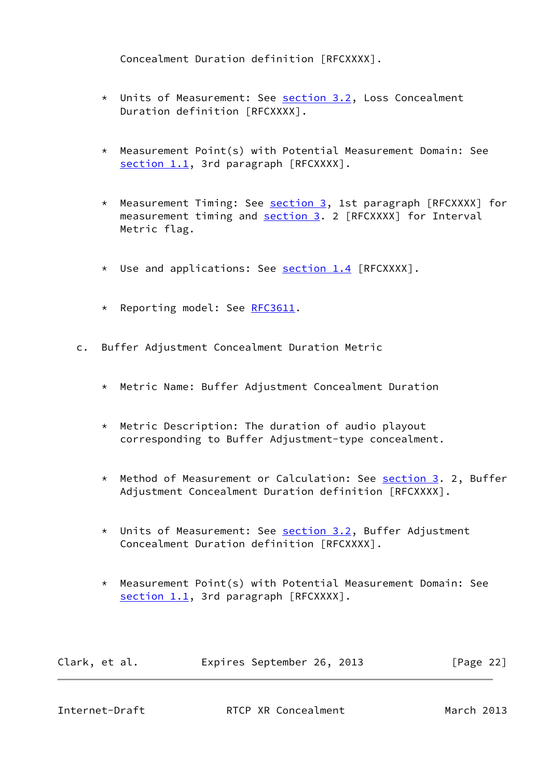Concealment Duration definition [RFCXXXX].

- \* Units of Measurement: See [section 3.2](#page-6-0), Loss Concealment Duration definition [RFCXXXX].
- \* Measurement Point(s) with Potential Measurement Domain: See [section 1.1](#page-2-2), 3rd paragraph [RFCXXXX].
- \* Measurement Timing: See [section 3,](#page-5-0) 1st paragraph [RFCXXXX] for measurement timing and [section 3.](#page-5-0) 2 [RFCXXXX] for Interval Metric flag.
- \* Use and applications: See [section 1.4](#page-3-3) [RFCXXXX].
- \* Reporting model: See [RFC3611.](https://datatracker.ietf.org/doc/pdf/rfc3611)
- c. Buffer Adjustment Concealment Duration Metric
	- \* Metric Name: Buffer Adjustment Concealment Duration
	- \* Metric Description: The duration of audio playout corresponding to Buffer Adjustment-type concealment.
	- \* Method of Measurement or Calculation: See [section 3](#page-5-0). 2, Buffer Adjustment Concealment Duration definition [RFCXXXX].
	- \* Units of Measurement: See [section 3.2](#page-6-0), Buffer Adjustment Concealment Duration definition [RFCXXXX].
	- \* Measurement Point(s) with Potential Measurement Domain: See [section 1.1](#page-2-2), 3rd paragraph [RFCXXXX].

Clark, et al. Expires September 26, 2013 [Page 22]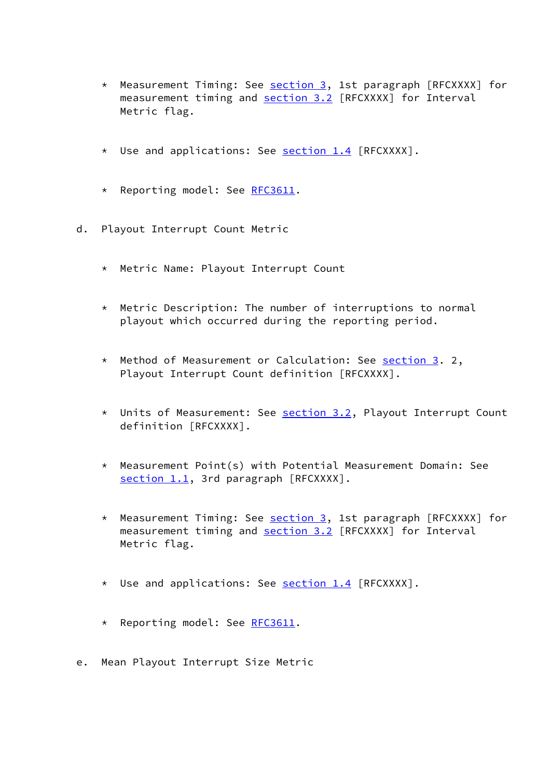- \* Measurement Timing: See [section 3,](#page-5-0) 1st paragraph [RFCXXXX] for measurement timing and [section 3.2](#page-6-0) [RFCXXXX] for Interval Metric flag.
- \* Use and applications: See [section 1.4](#page-3-3) [RFCXXXX].
- \* Reporting model: See [RFC3611.](https://datatracker.ietf.org/doc/pdf/rfc3611)
- d. Playout Interrupt Count Metric
	- \* Metric Name: Playout Interrupt Count
	- \* Metric Description: The number of interruptions to normal playout which occurred during the reporting period.
	- \* Method of Measurement or Calculation: See [section 3](#page-5-0). 2, Playout Interrupt Count definition [RFCXXXX].
	- \* Units of Measurement: See [section 3.2](#page-6-0), Playout Interrupt Count definition [RFCXXXX].
	- \* Measurement Point(s) with Potential Measurement Domain: See [section 1.1](#page-2-2), 3rd paragraph [RFCXXXX].
	- \* Measurement Timing: See [section 3,](#page-5-0) 1st paragraph [RFCXXXX] for measurement timing and [section 3.2](#page-6-0) [RFCXXXX] for Interval Metric flag.
	- \* Use and applications: See **section 1.4** [RFCXXXX].
	- \* Reporting model: See [RFC3611.](https://datatracker.ietf.org/doc/pdf/rfc3611)
- e. Mean Playout Interrupt Size Metric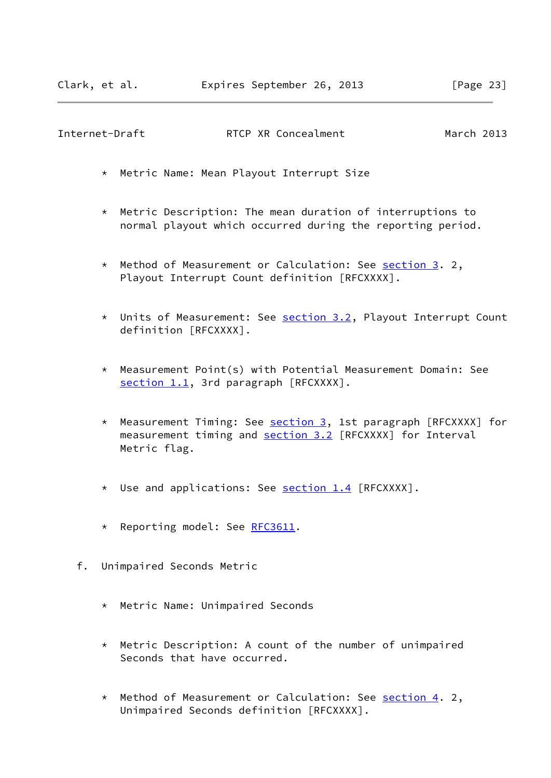- \* Metric Name: Mean Playout Interrupt Size
- \* Metric Description: The mean duration of interruptions to normal playout which occurred during the reporting period.
- \* Method of Measurement or Calculation: See [section 3](#page-5-0). 2, Playout Interrupt Count definition [RFCXXXX].
- \* Units of Measurement: See [section 3.2](#page-6-0), Playout Interrupt Count definition [RFCXXXX].
- \* Measurement Point(s) with Potential Measurement Domain: See [section 1.1](#page-2-2), 3rd paragraph [RFCXXXX].
- \* Measurement Timing: See **section 3**, 1st paragraph [RFCXXXX] for measurement timing and [section 3.2](#page-6-0) [RFCXXXX] for Interval Metric flag.
- \* Use and applications: See [section 1.4](#page-3-3) [RFCXXXX].
- \* Reporting model: See [RFC3611.](https://datatracker.ietf.org/doc/pdf/rfc3611)
- f. Unimpaired Seconds Metric
	- \* Metric Name: Unimpaired Seconds
	- \* Metric Description: A count of the number of unimpaired Seconds that have occurred.
	- \* Method of Measurement or Calculation: See [section 4](#page-10-0). 2, Unimpaired Seconds definition [RFCXXXX].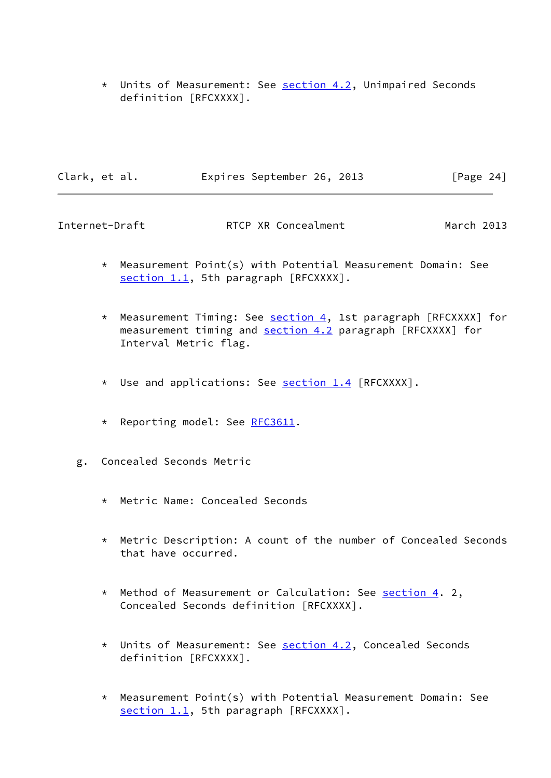\* Units of Measurement: See [section 4.2](#page-11-0), Unimpaired Seconds definition [RFCXXXX].

| Clark, et al. |  | Expires September 26, 2013 |  | [Page 24] |  |
|---------------|--|----------------------------|--|-----------|--|
|               |  |                            |  |           |  |

- \* Measurement Point(s) with Potential Measurement Domain: See [section 1.1](#page-2-2), 5th paragraph [RFCXXXX].
- \* Measurement Timing: See [section 4,](#page-10-0) 1st paragraph [RFCXXXX] for measurement timing and [section 4.2](#page-11-0) paragraph [RFCXXXX] for Interval Metric flag.
- \* Use and applications: See **section 1.4** [RFCXXXX].
- \* Reporting model: See [RFC3611.](https://datatracker.ietf.org/doc/pdf/rfc3611)
- g. Concealed Seconds Metric
	- \* Metric Name: Concealed Seconds
	- \* Metric Description: A count of the number of Concealed Seconds that have occurred.
	- \* Method of Measurement or Calculation: See [section 4](#page-10-0). 2, Concealed Seconds definition [RFCXXXX].
	- \* Units of Measurement: See [section 4.2](#page-11-0), Concealed Seconds definition [RFCXXXX].
	- \* Measurement Point(s) with Potential Measurement Domain: See [section 1.1](#page-2-2), 5th paragraph [RFCXXXX].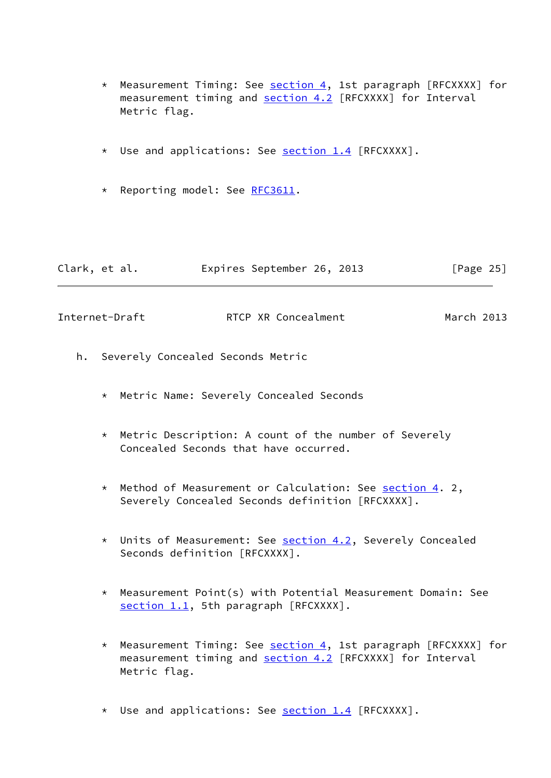- \* Measurement Timing: See [section 4,](#page-10-0) 1st paragraph [RFCXXXX] for measurement timing and [section 4.2](#page-11-0) [RFCXXXX] for Interval Metric flag.
- \* Use and applications: See [section 1.4](#page-3-3) [RFCXXXX].
- \* Reporting model: See [RFC3611.](https://datatracker.ietf.org/doc/pdf/rfc3611)

| Clark, et al. | Expires September 26, 2013 | [Page 25] |
|---------------|----------------------------|-----------|
|               |                            |           |

- h. Severely Concealed Seconds Metric
	- \* Metric Name: Severely Concealed Seconds
	- \* Metric Description: A count of the number of Severely Concealed Seconds that have occurred.
	- \* Method of Measurement or Calculation: See [section 4](#page-10-0). 2, Severely Concealed Seconds definition [RFCXXXX].
	- \* Units of Measurement: See [section 4.2](#page-11-0), Severely Concealed Seconds definition [RFCXXXX].
	- \* Measurement Point(s) with Potential Measurement Domain: See [section 1.1](#page-2-2), 5th paragraph [RFCXXXX].
	- \* Measurement Timing: See [section 4,](#page-10-0) 1st paragraph [RFCXXXX] for measurement timing and [section 4.2](#page-11-0) [RFCXXXX] for Interval Metric flag.
	- \* Use and applications: See **section 1.4** [RFCXXXX].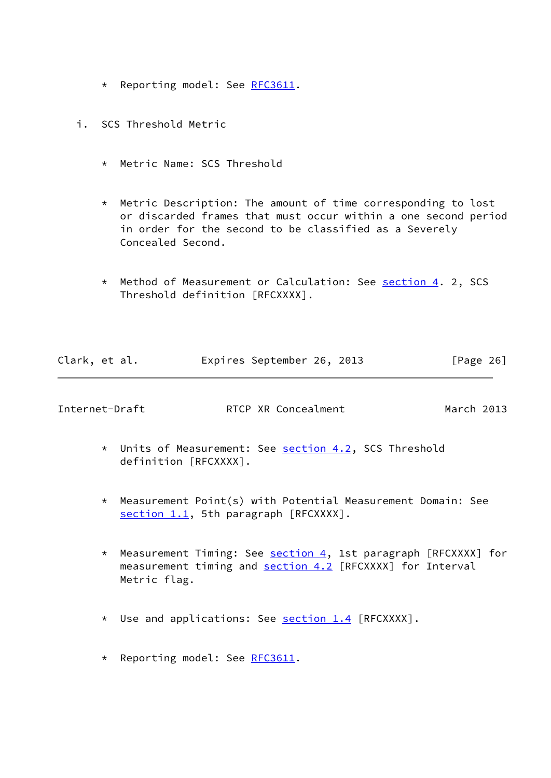- \* Reporting model: See [RFC3611.](https://datatracker.ietf.org/doc/pdf/rfc3611)
- i. SCS Threshold Metric
	- \* Metric Name: SCS Threshold
	- \* Metric Description: The amount of time corresponding to lost or discarded frames that must occur within a one second period in order for the second to be classified as a Severely Concealed Second.
	- \* Method of Measurement or Calculation: See [section 4](#page-10-0). 2, SCS Threshold definition [RFCXXXX].

| Clark, et al. |  | Expires September 26, 2013 |  |  | [Page 26] |  |
|---------------|--|----------------------------|--|--|-----------|--|
|---------------|--|----------------------------|--|--|-----------|--|

- \* Units of Measurement: See [section 4.2](#page-11-0), SCS Threshold definition [RFCXXXX].
- \* Measurement Point(s) with Potential Measurement Domain: See [section 1.1](#page-2-2), 5th paragraph [RFCXXXX].
- \* Measurement Timing: See [section 4,](#page-10-0) 1st paragraph [RFCXXXX] for measurement timing and [section 4.2](#page-11-0) [RFCXXXX] for Interval Metric flag.
- \* Use and applications: See **section 1.4** [RFCXXXX].
- \* Reporting model: See [RFC3611.](https://datatracker.ietf.org/doc/pdf/rfc3611)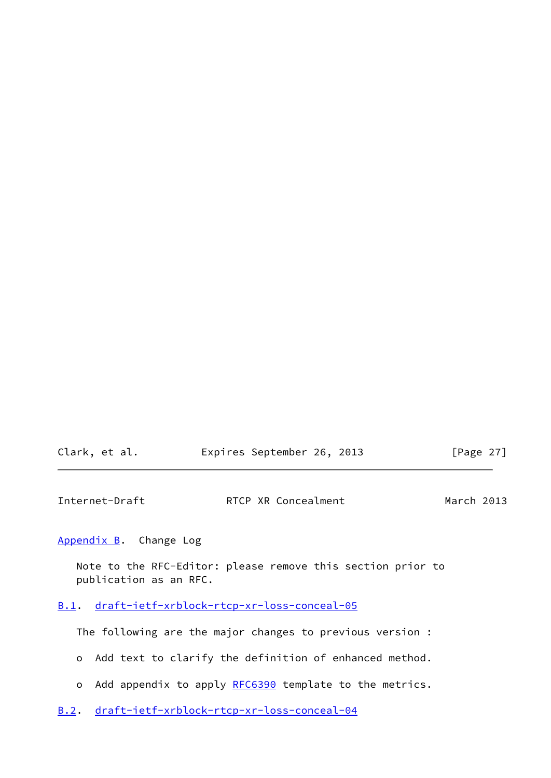| Clark, et al. | Expires September 26, 2013 | [Page 27] |
|---------------|----------------------------|-----------|
|---------------|----------------------------|-----------|

<span id="page-30-1"></span>

| Internet-Draft | RTCP XR Concealment | March 2013 |
|----------------|---------------------|------------|
|                |                     |            |

<span id="page-30-0"></span>[Appendix B.](#page-30-0) Change Log

 Note to the RFC-Editor: please remove this section prior to publication as an RFC.

# <span id="page-30-2"></span>[B.1](#page-30-2). [draft-ietf-xrblock-rtcp-xr-loss-conceal-05](https://datatracker.ietf.org/doc/pdf/draft-ietf-xrblock-rtcp-xr-loss-conceal-05)

The following are the major changes to previous version :

- o Add text to clarify the definition of enhanced method.
- o Add appendix to apply [RFC6390](https://datatracker.ietf.org/doc/pdf/rfc6390) template to the metrics.
- <span id="page-30-3"></span>[B.2](#page-30-3). [draft-ietf-xrblock-rtcp-xr-loss-conceal-04](https://datatracker.ietf.org/doc/pdf/draft-ietf-xrblock-rtcp-xr-loss-conceal-04)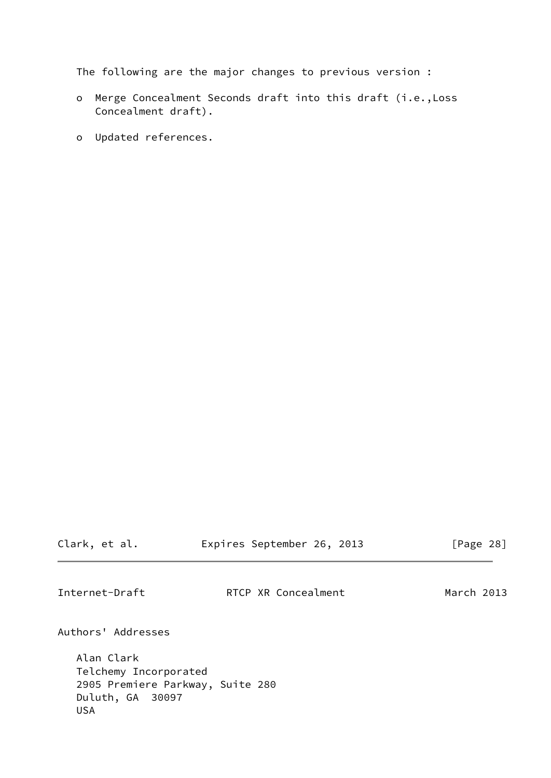The following are the major changes to previous version :

- o Merge Concealment Seconds draft into this draft (i.e.,Loss Concealment draft).
- o Updated references.

<span id="page-31-0"></span>Clark, et al. **Expires September 26, 2013** [Page 28] Internet-Draft **RTCP XR Concealment** March 2013 Authors' Addresses Alan Clark Telchemy Incorporated 2905 Premiere Parkway, Suite 280 Duluth, GA 30097 USA